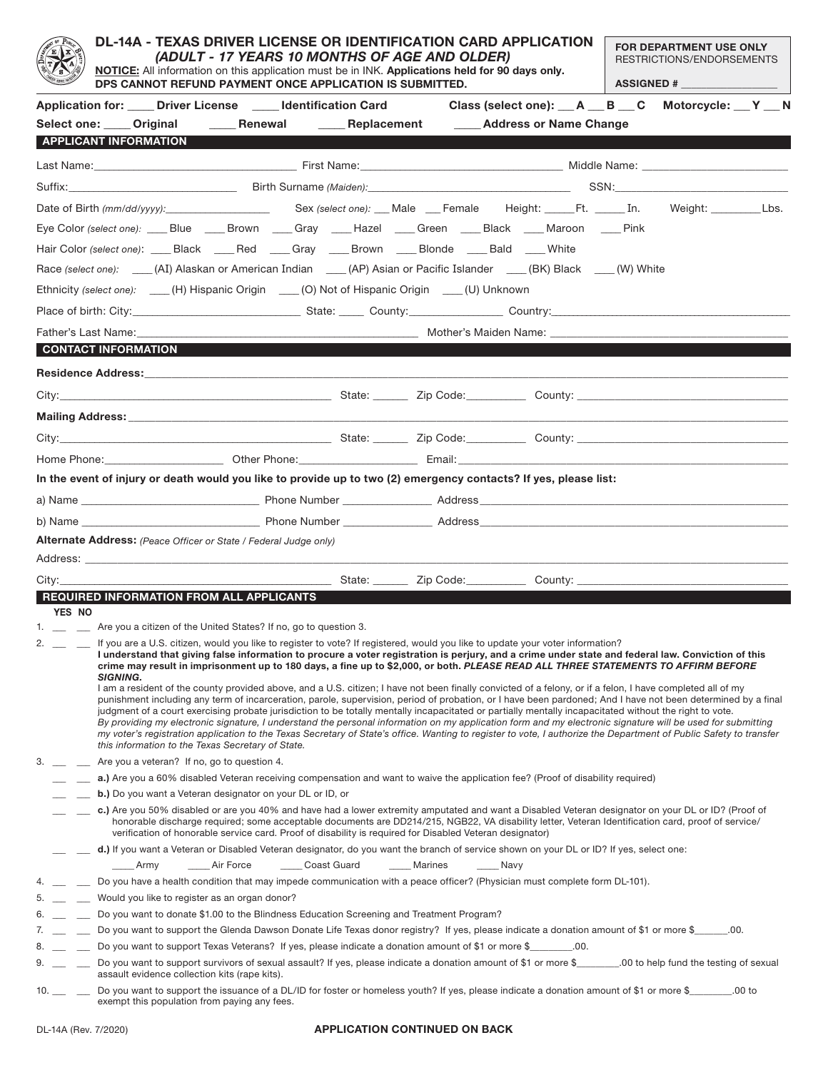|                                     | DL-14A - TEXAS DRIVER LICENSE OR IDENTIFICATION CARD APPLICATION<br>(ADULT - 17 YEARS 10 MONTHS OF AGE AND OLDER)<br>NOTICE: All information on this application must be in INK. Applications held for 90 days only.<br>DPS CANNOT REFUND PAYMENT ONCE APPLICATION IS SUBMITTED.                                                                                                                                                                                                                                                                                                                                                                                                                                                                                                                                                                                                                                                                                                                                                                                                                                                                                                              |                              |                                                                                                                                                                                                                                                                                                                                                                                                                       |             |               |                                                                                                     | FOR DEPARTMENT USE ONLY<br>RESTRICTIONS/ENDORSEMENTS<br><b>ASSIGNED # _________________</b> |  |  |  |
|-------------------------------------|-----------------------------------------------------------------------------------------------------------------------------------------------------------------------------------------------------------------------------------------------------------------------------------------------------------------------------------------------------------------------------------------------------------------------------------------------------------------------------------------------------------------------------------------------------------------------------------------------------------------------------------------------------------------------------------------------------------------------------------------------------------------------------------------------------------------------------------------------------------------------------------------------------------------------------------------------------------------------------------------------------------------------------------------------------------------------------------------------------------------------------------------------------------------------------------------------|------------------------------|-----------------------------------------------------------------------------------------------------------------------------------------------------------------------------------------------------------------------------------------------------------------------------------------------------------------------------------------------------------------------------------------------------------------------|-------------|---------------|-----------------------------------------------------------------------------------------------------|---------------------------------------------------------------------------------------------|--|--|--|
|                                     |                                                                                                                                                                                                                                                                                                                                                                                                                                                                                                                                                                                                                                                                                                                                                                                                                                                                                                                                                                                                                                                                                                                                                                                               |                              |                                                                                                                                                                                                                                                                                                                                                                                                                       |             |               |                                                                                                     |                                                                                             |  |  |  |
|                                     |                                                                                                                                                                                                                                                                                                                                                                                                                                                                                                                                                                                                                                                                                                                                                                                                                                                                                                                                                                                                                                                                                                                                                                                               |                              | Application for: _____ Driver License _____ Identification Card                                                                                                                                                                                                                                                                                                                                                       |             |               | Class (select one): __ A __ B __ C Motorcycle: __ Y __ N                                            |                                                                                             |  |  |  |
|                                     |                                                                                                                                                                                                                                                                                                                                                                                                                                                                                                                                                                                                                                                                                                                                                                                                                                                                                                                                                                                                                                                                                                                                                                                               |                              | Select one: ____ Original ______ Renewal ______ Replacement ______ Address or Name Change                                                                                                                                                                                                                                                                                                                             |             |               |                                                                                                     |                                                                                             |  |  |  |
|                                     |                                                                                                                                                                                                                                                                                                                                                                                                                                                                                                                                                                                                                                                                                                                                                                                                                                                                                                                                                                                                                                                                                                                                                                                               | <b>APPLICANT INFORMATION</b> |                                                                                                                                                                                                                                                                                                                                                                                                                       |             |               |                                                                                                     |                                                                                             |  |  |  |
|                                     |                                                                                                                                                                                                                                                                                                                                                                                                                                                                                                                                                                                                                                                                                                                                                                                                                                                                                                                                                                                                                                                                                                                                                                                               |                              |                                                                                                                                                                                                                                                                                                                                                                                                                       |             |               |                                                                                                     |                                                                                             |  |  |  |
|                                     |                                                                                                                                                                                                                                                                                                                                                                                                                                                                                                                                                                                                                                                                                                                                                                                                                                                                                                                                                                                                                                                                                                                                                                                               |                              |                                                                                                                                                                                                                                                                                                                                                                                                                       |             |               |                                                                                                     |                                                                                             |  |  |  |
|                                     |                                                                                                                                                                                                                                                                                                                                                                                                                                                                                                                                                                                                                                                                                                                                                                                                                                                                                                                                                                                                                                                                                                                                                                                               |                              |                                                                                                                                                                                                                                                                                                                                                                                                                       |             |               |                                                                                                     |                                                                                             |  |  |  |
|                                     |                                                                                                                                                                                                                                                                                                                                                                                                                                                                                                                                                                                                                                                                                                                                                                                                                                                                                                                                                                                                                                                                                                                                                                                               |                              | Eye Color (select one): ____Blue _____Brown ____Gray ____Hazel ____Green ____Black ____Maroon ____Pink                                                                                                                                                                                                                                                                                                                |             |               |                                                                                                     |                                                                                             |  |  |  |
|                                     |                                                                                                                                                                                                                                                                                                                                                                                                                                                                                                                                                                                                                                                                                                                                                                                                                                                                                                                                                                                                                                                                                                                                                                                               |                              | Hair Color (select one): _____ Black _____ Red _____ Gray _____ Brown _____ Blonde _____ Bald _____ White                                                                                                                                                                                                                                                                                                             |             |               |                                                                                                     |                                                                                             |  |  |  |
|                                     |                                                                                                                                                                                                                                                                                                                                                                                                                                                                                                                                                                                                                                                                                                                                                                                                                                                                                                                                                                                                                                                                                                                                                                                               |                              | Race (select one): ____(AI) Alaskan or American Indian ____(AP) Asian or Pacific Islander ____(BK) Black ___(W) White                                                                                                                                                                                                                                                                                                 |             |               |                                                                                                     |                                                                                             |  |  |  |
|                                     |                                                                                                                                                                                                                                                                                                                                                                                                                                                                                                                                                                                                                                                                                                                                                                                                                                                                                                                                                                                                                                                                                                                                                                                               |                              |                                                                                                                                                                                                                                                                                                                                                                                                                       |             |               |                                                                                                     |                                                                                             |  |  |  |
|                                     |                                                                                                                                                                                                                                                                                                                                                                                                                                                                                                                                                                                                                                                                                                                                                                                                                                                                                                                                                                                                                                                                                                                                                                                               |                              | Ethnicity (select one): ____(H) Hispanic Origin ____(O) Not of Hispanic Origin ____(U) Unknown                                                                                                                                                                                                                                                                                                                        |             |               |                                                                                                     |                                                                                             |  |  |  |
|                                     |                                                                                                                                                                                                                                                                                                                                                                                                                                                                                                                                                                                                                                                                                                                                                                                                                                                                                                                                                                                                                                                                                                                                                                                               |                              |                                                                                                                                                                                                                                                                                                                                                                                                                       |             |               |                                                                                                     |                                                                                             |  |  |  |
|                                     |                                                                                                                                                                                                                                                                                                                                                                                                                                                                                                                                                                                                                                                                                                                                                                                                                                                                                                                                                                                                                                                                                                                                                                                               |                              |                                                                                                                                                                                                                                                                                                                                                                                                                       |             |               |                                                                                                     |                                                                                             |  |  |  |
|                                     |                                                                                                                                                                                                                                                                                                                                                                                                                                                                                                                                                                                                                                                                                                                                                                                                                                                                                                                                                                                                                                                                                                                                                                                               | CONTACT INFORMATION          |                                                                                                                                                                                                                                                                                                                                                                                                                       |             |               |                                                                                                     |                                                                                             |  |  |  |
|                                     |                                                                                                                                                                                                                                                                                                                                                                                                                                                                                                                                                                                                                                                                                                                                                                                                                                                                                                                                                                                                                                                                                                                                                                                               |                              |                                                                                                                                                                                                                                                                                                                                                                                                                       |             |               |                                                                                                     |                                                                                             |  |  |  |
|                                     |                                                                                                                                                                                                                                                                                                                                                                                                                                                                                                                                                                                                                                                                                                                                                                                                                                                                                                                                                                                                                                                                                                                                                                                               |                              |                                                                                                                                                                                                                                                                                                                                                                                                                       |             |               |                                                                                                     |                                                                                             |  |  |  |
|                                     |                                                                                                                                                                                                                                                                                                                                                                                                                                                                                                                                                                                                                                                                                                                                                                                                                                                                                                                                                                                                                                                                                                                                                                                               |                              |                                                                                                                                                                                                                                                                                                                                                                                                                       |             |               |                                                                                                     |                                                                                             |  |  |  |
|                                     |                                                                                                                                                                                                                                                                                                                                                                                                                                                                                                                                                                                                                                                                                                                                                                                                                                                                                                                                                                                                                                                                                                                                                                                               |                              |                                                                                                                                                                                                                                                                                                                                                                                                                       |             |               |                                                                                                     |                                                                                             |  |  |  |
|                                     |                                                                                                                                                                                                                                                                                                                                                                                                                                                                                                                                                                                                                                                                                                                                                                                                                                                                                                                                                                                                                                                                                                                                                                                               |                              |                                                                                                                                                                                                                                                                                                                                                                                                                       |             |               |                                                                                                     |                                                                                             |  |  |  |
|                                     |                                                                                                                                                                                                                                                                                                                                                                                                                                                                                                                                                                                                                                                                                                                                                                                                                                                                                                                                                                                                                                                                                                                                                                                               |                              |                                                                                                                                                                                                                                                                                                                                                                                                                       |             |               |                                                                                                     |                                                                                             |  |  |  |
|                                     |                                                                                                                                                                                                                                                                                                                                                                                                                                                                                                                                                                                                                                                                                                                                                                                                                                                                                                                                                                                                                                                                                                                                                                                               |                              | In the event of injury or death would you like to provide up to two (2) emergency contacts? If yes, please list:                                                                                                                                                                                                                                                                                                      |             |               |                                                                                                     |                                                                                             |  |  |  |
|                                     |                                                                                                                                                                                                                                                                                                                                                                                                                                                                                                                                                                                                                                                                                                                                                                                                                                                                                                                                                                                                                                                                                                                                                                                               |                              |                                                                                                                                                                                                                                                                                                                                                                                                                       |             |               |                                                                                                     |                                                                                             |  |  |  |
|                                     |                                                                                                                                                                                                                                                                                                                                                                                                                                                                                                                                                                                                                                                                                                                                                                                                                                                                                                                                                                                                                                                                                                                                                                                               |                              |                                                                                                                                                                                                                                                                                                                                                                                                                       |             |               |                                                                                                     |                                                                                             |  |  |  |
|                                     |                                                                                                                                                                                                                                                                                                                                                                                                                                                                                                                                                                                                                                                                                                                                                                                                                                                                                                                                                                                                                                                                                                                                                                                               |                              | <b>Alternate Address:</b> (Peace Officer or State / Federal Judge only)                                                                                                                                                                                                                                                                                                                                               |             |               |                                                                                                     |                                                                                             |  |  |  |
|                                     |                                                                                                                                                                                                                                                                                                                                                                                                                                                                                                                                                                                                                                                                                                                                                                                                                                                                                                                                                                                                                                                                                                                                                                                               |                              |                                                                                                                                                                                                                                                                                                                                                                                                                       |             |               |                                                                                                     |                                                                                             |  |  |  |
| City:                               |                                                                                                                                                                                                                                                                                                                                                                                                                                                                                                                                                                                                                                                                                                                                                                                                                                                                                                                                                                                                                                                                                                                                                                                               |                              |                                                                                                                                                                                                                                                                                                                                                                                                                       |             |               | __________________State: __________ Zip Code:_______________ County: ______________________________ |                                                                                             |  |  |  |
|                                     |                                                                                                                                                                                                                                                                                                                                                                                                                                                                                                                                                                                                                                                                                                                                                                                                                                                                                                                                                                                                                                                                                                                                                                                               |                              | <b>REQUIRED INFORMATION FROM ALL APPLICANTS</b>                                                                                                                                                                                                                                                                                                                                                                       |             |               |                                                                                                     |                                                                                             |  |  |  |
| YES NO                              |                                                                                                                                                                                                                                                                                                                                                                                                                                                                                                                                                                                                                                                                                                                                                                                                                                                                                                                                                                                                                                                                                                                                                                                               |                              |                                                                                                                                                                                                                                                                                                                                                                                                                       |             |               |                                                                                                     |                                                                                             |  |  |  |
|                                     | 1. __ _ _ Are you a citizen of the United States? If no, go to question 3.<br>2. __ _ _ _ If you are a U.S. citizen, would you like to register to vote? If registered, would you like to update your voter information?<br>I understand that giving false information to procure a voter registration is perjury, and a crime under state and federal law. Conviction of this<br>crime may result in imprisonment up to 180 days, a fine up to \$2,000, or both. PLEASE READ ALL THREE STATEMENTS TO AFFIRM BEFORE<br><b>SIGNING.</b><br>I am a resident of the county provided above, and a U.S. citizen; I have not been finally convicted of a felony, or if a felon, I have completed all of my<br>punishment including any term of incarceration, parole, supervision, period of probation, or I have been pardoned; And I have not been determined by a final<br>judgment of a court exercising probate jurisdiction to be totally mentally incapacitated or partially mentally incapacitated without the right to vote.<br>By providing my electronic signature, I understand the personal information on my application form and my electronic signature will be used for submitting |                              |                                                                                                                                                                                                                                                                                                                                                                                                                       |             |               |                                                                                                     |                                                                                             |  |  |  |
|                                     |                                                                                                                                                                                                                                                                                                                                                                                                                                                                                                                                                                                                                                                                                                                                                                                                                                                                                                                                                                                                                                                                                                                                                                                               |                              | my voter's registration application to the Texas Secretary of State's office. Wanting to register to vote, I authorize the Department of Public Safety to transfer<br>this information to the Texas Secretary of State.                                                                                                                                                                                               |             |               |                                                                                                     |                                                                                             |  |  |  |
| 3.                                  |                                                                                                                                                                                                                                                                                                                                                                                                                                                                                                                                                                                                                                                                                                                                                                                                                                                                                                                                                                                                                                                                                                                                                                                               |                              | Are you a veteran? If no, go to question 4.                                                                                                                                                                                                                                                                                                                                                                           |             |               |                                                                                                     |                                                                                             |  |  |  |
|                                     |                                                                                                                                                                                                                                                                                                                                                                                                                                                                                                                                                                                                                                                                                                                                                                                                                                                                                                                                                                                                                                                                                                                                                                                               |                              | a.) Are you a 60% disabled Veteran receiving compensation and want to waive the application fee? (Proof of disability required)                                                                                                                                                                                                                                                                                       |             |               |                                                                                                     |                                                                                             |  |  |  |
|                                     |                                                                                                                                                                                                                                                                                                                                                                                                                                                                                                                                                                                                                                                                                                                                                                                                                                                                                                                                                                                                                                                                                                                                                                                               |                              | b.) Do you want a Veteran designator on your DL or ID, or                                                                                                                                                                                                                                                                                                                                                             |             |               |                                                                                                     |                                                                                             |  |  |  |
|                                     |                                                                                                                                                                                                                                                                                                                                                                                                                                                                                                                                                                                                                                                                                                                                                                                                                                                                                                                                                                                                                                                                                                                                                                                               |                              | c.) Are you 50% disabled or are you 40% and have had a lower extremity amputated and want a Disabled Veteran designator on your DL or ID? (Proof of<br>honorable discharge required; some acceptable documents are DD214/215, NGB22, VA disability letter, Veteran Identification card, proof of service/<br>verification of honorable service card. Proof of disability is required for Disabled Veteran designator) |             |               |                                                                                                     |                                                                                             |  |  |  |
|                                     |                                                                                                                                                                                                                                                                                                                                                                                                                                                                                                                                                                                                                                                                                                                                                                                                                                                                                                                                                                                                                                                                                                                                                                                               |                              | d.) If you want a Veteran or Disabled Veteran designator, do you want the branch of service shown on your DL or ID? If yes, select one:                                                                                                                                                                                                                                                                               |             |               |                                                                                                     |                                                                                             |  |  |  |
|                                     | _____Army                                                                                                                                                                                                                                                                                                                                                                                                                                                                                                                                                                                                                                                                                                                                                                                                                                                                                                                                                                                                                                                                                                                                                                                     |                              | Air Force                                                                                                                                                                                                                                                                                                                                                                                                             | Coast Guard | _____ Marines | Navy                                                                                                |                                                                                             |  |  |  |
|                                     |                                                                                                                                                                                                                                                                                                                                                                                                                                                                                                                                                                                                                                                                                                                                                                                                                                                                                                                                                                                                                                                                                                                                                                                               |                              | Do you have a health condition that may impede communication with a peace officer? (Physician must complete form DL-101).                                                                                                                                                                                                                                                                                             |             |               |                                                                                                     |                                                                                             |  |  |  |
|                                     |                                                                                                                                                                                                                                                                                                                                                                                                                                                                                                                                                                                                                                                                                                                                                                                                                                                                                                                                                                                                                                                                                                                                                                                               |                              | Would you like to register as an organ donor?                                                                                                                                                                                                                                                                                                                                                                         |             |               |                                                                                                     |                                                                                             |  |  |  |
| 6. $\qquad$                         | Do you want to donate \$1.00 to the Blindness Education Screening and Treatment Program?<br>Do you want to support the Glenda Dawson Donate Life Texas donor registry? If yes, please indicate a donation amount of \$1 or more \$______00.                                                                                                                                                                                                                                                                                                                                                                                                                                                                                                                                                                                                                                                                                                                                                                                                                                                                                                                                                   |                              |                                                                                                                                                                                                                                                                                                                                                                                                                       |             |               |                                                                                                     |                                                                                             |  |  |  |
| $7.$ $\qquad$                       |                                                                                                                                                                                                                                                                                                                                                                                                                                                                                                                                                                                                                                                                                                                                                                                                                                                                                                                                                                                                                                                                                                                                                                                               |                              | Do you want to support Texas Veterans? If yes, please indicate a donation amount of \$1 or more \$_______.00.                                                                                                                                                                                                                                                                                                         |             |               |                                                                                                     |                                                                                             |  |  |  |
| $8.$ __ _<br>$9.$ $\qquad$ $\qquad$ |                                                                                                                                                                                                                                                                                                                                                                                                                                                                                                                                                                                                                                                                                                                                                                                                                                                                                                                                                                                                                                                                                                                                                                                               |                              | Do you want to support survivors of sexual assault? If yes, please indicate a donation amount of \$1 or more \$ _________ .00 to help fund the testing of sexual<br>assault evidence collection kits (rape kits).                                                                                                                                                                                                     |             |               |                                                                                                     |                                                                                             |  |  |  |
| 10. $\_\_$                          |                                                                                                                                                                                                                                                                                                                                                                                                                                                                                                                                                                                                                                                                                                                                                                                                                                                                                                                                                                                                                                                                                                                                                                                               |                              | Do you want to support the issuance of a DL/ID for foster or homeless youth? If yes, please indicate a donation amount of \$1 or more \$__________.00 to<br>exempt this population from paying any fees.                                                                                                                                                                                                              |             |               |                                                                                                     |                                                                                             |  |  |  |

## **APPLICATION CONTINUED ON BACK**